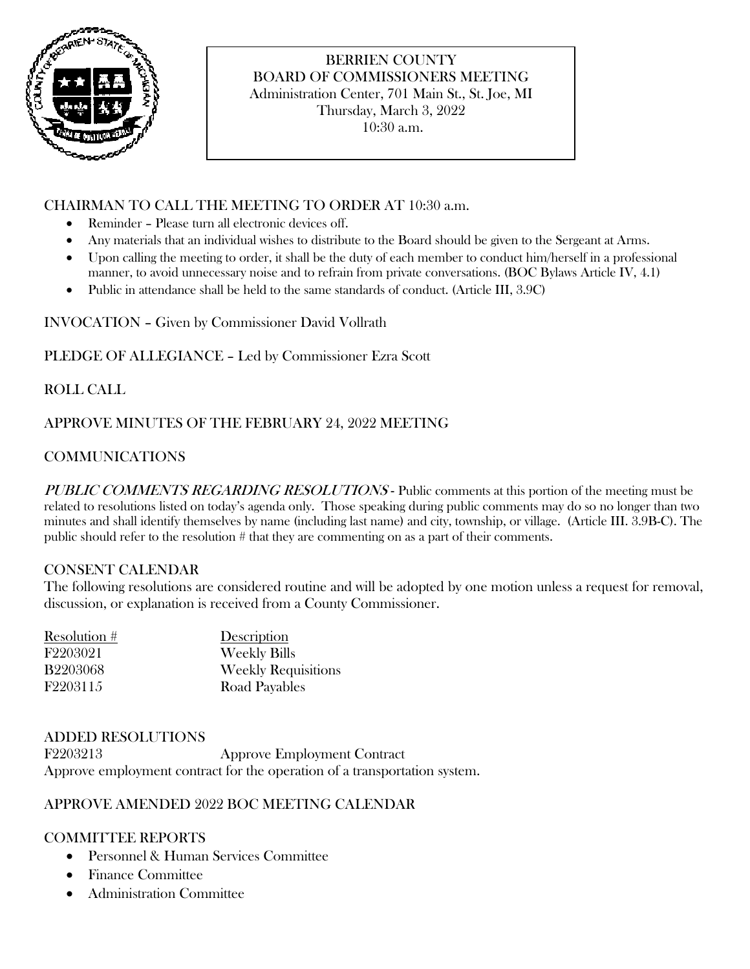

# BERRIEN COUNTY BOARD OF COMMISSIONERS MEETING Administration Center, 701 Main St., St. Joe, MI Thursday, March 3, 2022 10:30 a.m.

# CHAIRMAN TO CALL THE MEETING TO ORDER AT 10:30 a.m.

- Reminder Please turn all electronic devices off.
- Any materials that an individual wishes to distribute to the Board should be given to the Sergeant at Arms.
- Upon calling the meeting to order, it shall be the duty of each member to conduct him/herself in a professional manner, to avoid unnecessary noise and to refrain from private conversations. (BOC Bylaws Article IV, 4.1)
- Public in attendance shall be held to the same standards of conduct. (Article III, 3.9C)

INVOCATION – Given by Commissioner David Vollrath

PLEDGE OF ALLEGIANCE – Led by Commissioner Ezra Scott

ROLL CALL

# APPROVE MINUTES OF THE FEBRUARY 24, 2022 MEETING

# COMMUNICATIONS

PUBLIC COMMENTS REGARDING RESOLUTIONS - Public comments at this portion of the meeting must be related to resolutions listed on today's agenda only. Those speaking during public comments may do so no longer than two minutes and shall identify themselves by name (including last name) and city, township, or village. (Article III. 3.9B-C). The public should refer to the resolution # that they are commenting on as a part of their comments.

## CONSENT CALENDAR

The following resolutions are considered routine and will be adopted by one motion unless a request for removal, discussion, or explanation is received from a County Commissioner.

| Resolution #    | Description                |
|-----------------|----------------------------|
| F2203021        | <b>Weekly Bills</b>        |
| <b>B2203068</b> | <b>Weekly Requisitions</b> |
| F2203115        | Road Payables              |

## ADDED RESOLUTIONS

F2203213 Approve Employment Contract Approve employment contract for the operation of a transportation system.

## APPROVE AMENDED 2022 BOC MEETING CALENDAR

## COMMITTEE REPORTS

- Personnel & Human Services Committee
- Finance Committee
- Administration Committee